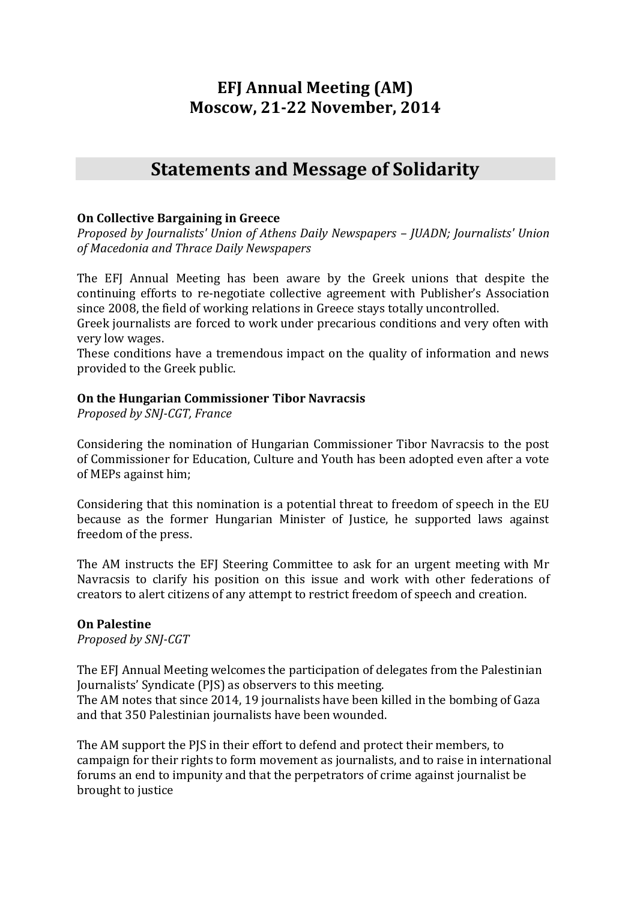# **EFJ Annual Meeting (AM) Moscow, 21-22 November, 2014**

# **Statements and Message of Solidarity**

### **On Collective Bargaining in Greece**

*Proposed by Journalists' Union of Athens Daily Newspapers – JUADN; Journalists' Union of Macedonia and Thrace Daily Newspapers*

The EFJ Annual Meeting has been aware by the Greek unions that despite the continuing efforts to re-negotiate collective agreement with Publisher's Association since 2008, the field of working relations in Greece stays totally uncontrolled.

Greek journalists are forced to work under precarious conditions and very often with very low wages.

These conditions have a tremendous impact on the quality of information and news provided to the Greek public.

### **On the Hungarian Commissioner Tibor Navracsis**

*Proposed by SNJ-CGT, France*

Considering the nomination of Hungarian Commissioner Tibor Navracsis to the post of Commissioner for Education, Culture and Youth has been adopted even after a vote of MEPs against him;

Considering that this nomination is a potential threat to freedom of speech in the EU because as the former Hungarian Minister of Justice, he supported laws against freedom of the press.

The AM instructs the EFJ Steering Committee to ask for an urgent meeting with Mr Navracsis to clarify his position on this issue and work with other federations of creators to alert citizens of any attempt to restrict freedom of speech and creation.

### **On Palestine**

*Proposed by SNJ-CGT*

The EFJ Annual Meeting welcomes the participation of delegates from the Palestinian Journalists' Syndicate (PJS) as observers to this meeting. The AM notes that since 2014, 19 journalists have been killed in the bombing of Gaza and that 350 Palestinian journalists have been wounded.

The AM support the PJS in their effort to defend and protect their members, to campaign for their rights to form movement as journalists, and to raise in international forums an end to impunity and that the perpetrators of crime against journalist be brought to justice